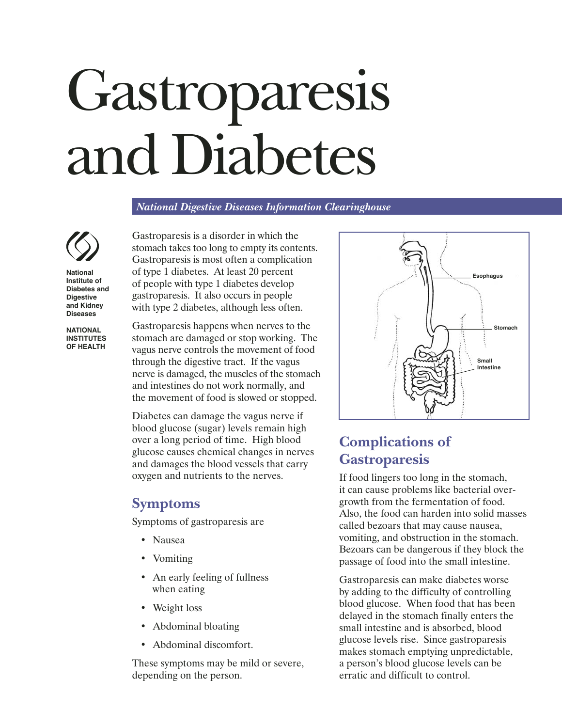# Gastroparesis and Diabetes

*National Digestive Diseases Information Clearinghouse*



**National Institute of Diabetes and Digestive and Kidney Diseases**

**NATIONAL INSTITUTES OF HEALTH**

Gastroparesis is a disorder in which the stomach takes too long to empty its contents. Gastroparesis is most often a complication of type 1 diabetes. At least 20 percent of people with type 1 diabetes develop gastroparesis. It also occurs in people with type 2 diabetes, although less often.

Gastroparesis happens when nerves to the stomach are damaged or stop working. The vagus nerve controls the movement of food through the digestive tract. If the vagus nerve is damaged, the muscles of the stomach and intestines do not work normally, and the movement of food is slowed or stopped.

Diabetes can damage the vagus nerve if blood glucose (sugar) levels remain high over a long period of time. High blood glucose causes chemical changes in nerves and damages the blood vessels that carry oxygen and nutrients to the nerves.

# **Symptoms**

Symptoms of gastroparesis are

- Nausea
- Vomiting
- An early feeling of fullness when eating
- Weight loss
- Abdominal bloating
- Abdominal discomfort.

These symptoms may be mild or severe, depending on the person.



# **Complications of Gastroparesis**

If food lingers too long in the stomach, it can cause problems like bacterial overgrowth from the fermentation of food. Also, the food can harden into solid masses called bezoars that may cause nausea, vomiting, and obstruction in the stomach. Bezoars can be dangerous if they block the passage of food into the small intestine.

Gastroparesis can make diabetes worse by adding to the difficulty of controlling blood glucose. When food that has been delayed in the stomach finally enters the small intestine and is absorbed, blood glucose levels rise. Since gastroparesis makes stomach emptying unpredictable, a person's blood glucose levels can be erratic and difficult to control.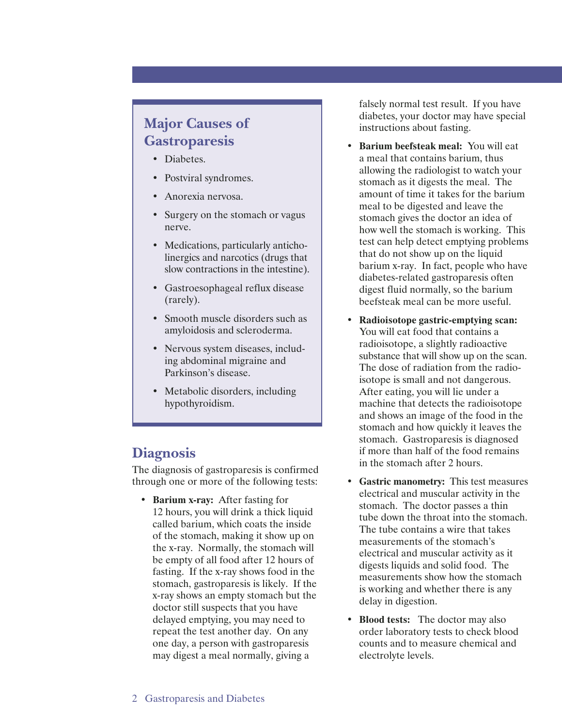# **Major Causes of Gastroparesis**

- Diabetes.
- Postviral syndromes.
- Anorexia nervosa.
- Surgery on the stomach or vagus nerve.
- Medications, particularly anticholinergics and narcotics (drugs that slow contractions in the intestine).
- Gastroesophageal reflux disease (rarely).
- Smooth muscle disorders such as amyloidosis and scleroderma.
- Nervous system diseases, including abdominal migraine and Parkinson's disease.
- Metabolic disorders, including hypothyroidism.

# **Diagnosis**

The diagnosis of gastroparesis is confirmed through one or more of the following tests:

• **Barium x-ray:** After fasting for 12 hours, you will drink a thick liquid called barium, which coats the inside of the stomach, making it show up on the x-ray. Normally, the stomach will be empty of all food after 12 hours of fasting. If the x-ray shows food in the stomach, gastroparesis is likely. If the x-ray shows an empty stomach but the doctor still suspects that you have delayed emptying, you may need to repeat the test another day. On any one day, a person with gastroparesis may digest a meal normally, giving a

falsely normal test result. If you have diabetes, your doctor may have special instructions about fasting.

- **Barium beefsteak meal:** You will eat a meal that contains barium, thus allowing the radiologist to watch your stomach as it digests the meal. The amount of time it takes for the barium meal to be digested and leave the stomach gives the doctor an idea of how well the stomach is working. This test can help detect emptying problems that do not show up on the liquid barium x-ray. In fact, people who have diabetes-related gastroparesis often digest fluid normally, so the barium beefsteak meal can be more useful.
- **Radioisotope gastric-emptying scan:** You will eat food that contains a radioisotope, a slightly radioactive substance that will show up on the scan. The dose of radiation from the radioisotope is small and not dangerous. After eating, you will lie under a machine that detects the radioisotope and shows an image of the food in the stomach and how quickly it leaves the stomach. Gastroparesis is diagnosed if more than half of the food remains in the stomach after 2 hours.
- **Gastric manometry:** This test measures electrical and muscular activity in the stomach. The doctor passes a thin tube down the throat into the stomach. The tube contains a wire that takes measurements of the stomach's electrical and muscular activity as it digests liquids and solid food. The measurements show how the stomach is working and whether there is any delay in digestion.
- **Blood tests:** The doctor may also order laboratory tests to check blood counts and to measure chemical and electrolyte levels.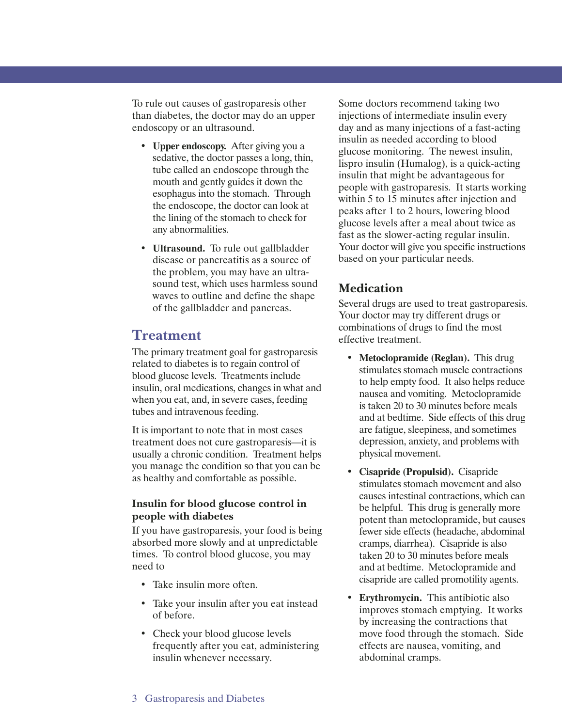To rule out causes of gastroparesis other than diabetes, the doctor may do an upper endoscopy or an ultrasound.

- **Upper endoscopy.** After giving you a sedative, the doctor passes a long, thin, tube called an endoscope through the mouth and gently guides it down the esophagus into the stomach. Through the endoscope, the doctor can look at the lining of the stomach to check for any abnormalities.
- **Ultrasound.** To rule out gallbladder disease or pancreatitis as a source of the problem, you may have an ultrasound test, which uses harmless sound waves to outline and define the shape of the gallbladder and pancreas.

## **Treatment**

The primary treatment goal for gastroparesis related to diabetes is to regain control of blood glucose levels. Treatments include insulin, oral medications, changes in what and when you eat, and, in severe cases, feeding tubes and intravenous feeding.

It is important to note that in most cases treatment does not cure gastroparesis—it is usually a chronic condition. Treatment helps you manage the condition so that you can be as healthy and comfortable as possible.

#### **Insulin for blood glucose control in people with diabetes**

If you have gastroparesis, your food is being absorbed more slowly and at unpredictable times. To control blood glucose, you may need to

- Take insulin more often.
- Take your insulin after you eat instead of before.
- Check your blood glucose levels frequently after you eat, administering insulin whenever necessary.

Some doctors recommend taking two injections of intermediate insulin every day and as many injections of a fast-acting insulin as needed according to blood glucose monitoring. The newest insulin, lispro insulin (Humalog), is a quick-acting insulin that might be advantageous for people with gastroparesis. It starts working within 5 to 15 minutes after injection and peaks after 1 to 2 hours, lowering blood glucose levels after a meal about twice as fast as the slower-acting regular insulin. Your doctor will give you specific instructions based on your particular needs.

## **Medication**

Several drugs are used to treat gastroparesis. Your doctor may try different drugs or combinations of drugs to find the most effective treatment.

- **Metoclopramide (Reglan).** This drug stimulates stomach muscle contractions to help empty food. It also helps reduce nausea and vomiting. Metoclopramide is taken 20 to 30 minutes before meals and at bedtime. Side effects of this drug are fatigue, sleepiness, and sometimes depression, anxiety, and problems with physical movement.
- **Cisapride (Propulsid).** Cisapride stimulates stomach movement and also causes intestinal contractions, which can be helpful. This drug is generally more potent than metoclopramide, but causes fewer side effects (headache, abdominal cramps, diarrhea). Cisapride is also taken 20 to 30 minutes before meals and at bedtime. Metoclopramide and cisapride are called promotility agents.
- **Erythromycin.** This antibiotic also improves stomach emptying. It works by increasing the contractions that move food through the stomach. Side effects are nausea, vomiting, and abdominal cramps.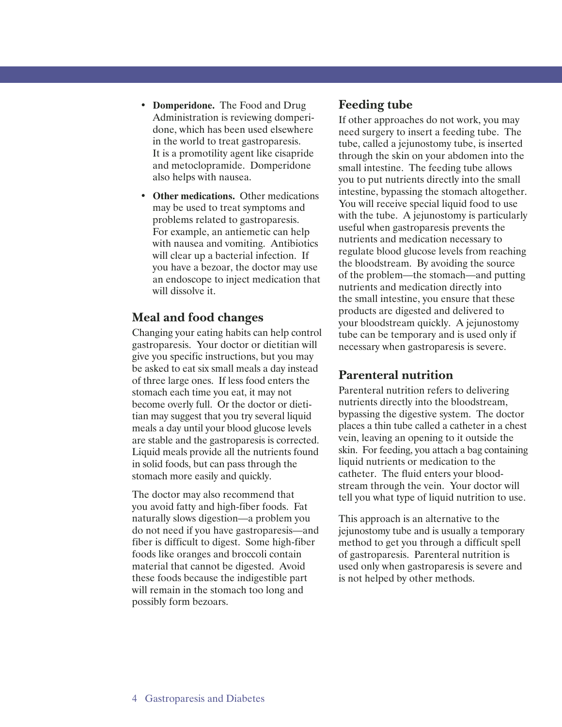- **Domperidone.** The Food and Drug Administration is reviewing domperidone, which has been used elsewhere in the world to treat gastroparesis. It is a promotility agent like cisapride and metoclopramide. Domperidone also helps with nausea.
- **Other medications.** Other medications may be used to treat symptoms and problems related to gastroparesis. For example, an antiemetic can help with nausea and vomiting. Antibiotics will clear up a bacterial infection. If you have a bezoar, the doctor may use an endoscope to inject medication that will dissolve it.

#### **Meal and food changes**

Changing your eating habits can help control gastroparesis. Your doctor or dietitian will give you specific instructions, but you may be asked to eat six small meals a day instead of three large ones. If less food enters the stomach each time you eat, it may not become overly full. Or the doctor or dietitian may suggest that you try several liquid meals a day until your blood glucose levels are stable and the gastroparesis is corrected. Liquid meals provide all the nutrients found in solid foods, but can pass through the stomach more easily and quickly.

The doctor may also recommend that you avoid fatty and high-fiber foods. Fat naturally slows digestion—a problem you do not need if you have gastroparesis—and fiber is difficult to digest. Some high-fiber foods like oranges and broccoli contain material that cannot be digested. Avoid these foods because the indigestible part will remain in the stomach too long and possibly form bezoars.

### **Feeding tube**

If other approaches do not work, you may need surgery to insert a feeding tube. The tube, called a jejunostomy tube, is inserted through the skin on your abdomen into the small intestine. The feeding tube allows you to put nutrients directly into the small intestine, bypassing the stomach altogether. You will receive special liquid food to use with the tube. A jejunostomy is particularly useful when gastroparesis prevents the nutrients and medication necessary to regulate blood glucose levels from reaching the bloodstream. By avoiding the source of the problem—the stomach—and putting nutrients and medication directly into the small intestine, you ensure that these products are digested and delivered to your bloodstream quickly. A jejunostomy tube can be temporary and is used only if necessary when gastroparesis is severe.

#### **Parenteral nutrition**

Parenteral nutrition refers to delivering nutrients directly into the bloodstream, bypassing the digestive system. The doctor places a thin tube called a catheter in a chest vein, leaving an opening to it outside the skin. For feeding, you attach a bag containing liquid nutrients or medication to the catheter. The fluid enters your bloodstream through the vein. Your doctor will tell you what type of liquid nutrition to use.

This approach is an alternative to the jejunostomy tube and is usually a temporary method to get you through a difficult spell of gastroparesis. Parenteral nutrition is used only when gastroparesis is severe and is not helped by other methods.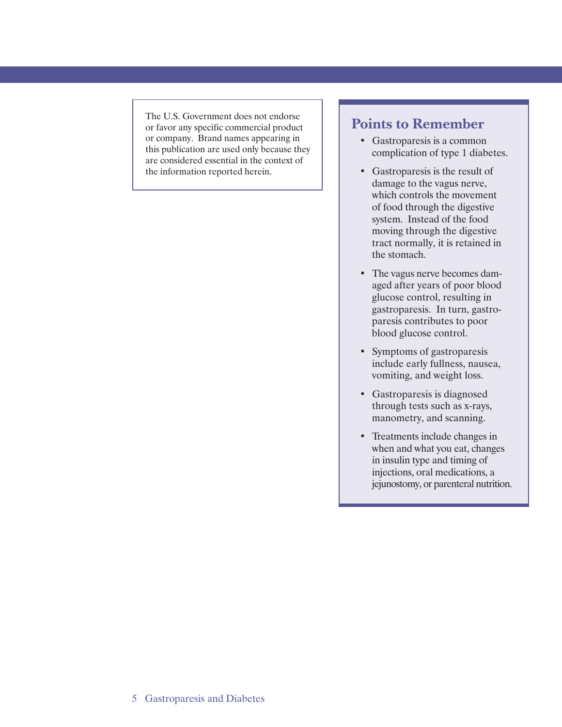The U.S. Government does not endorse or favor any specific commercial product or company. Brand names appearing in this publication are used only because they are considered essential in the context of the information reported herein.

#### **Points to Remember**

- Gastroparesis is a common complication of type 1 diabetes.
- Gastroparesis is the result of damage to the vagus nerve, which controls the movement of food through the digestive system. Instead of the food moving through the digestive tract normally, it is retained in the stomach.
- The vagus nerve becomes damaged after years of poor blood glucose control, resulting in gastroparesis. In turn, gastroparesis contributes to poor blood glucose control.
- Symptoms of gastroparesis include early fullness, nausea, vomiting, and weight loss.
- Gastroparesis is diagnosed through tests such as x-rays, manometry, and scanning.
- Treatments include changes in when and what you eat, changes in insulin type and timing of injections, oral medications, a jejunostomy, or parenteral nutrition.